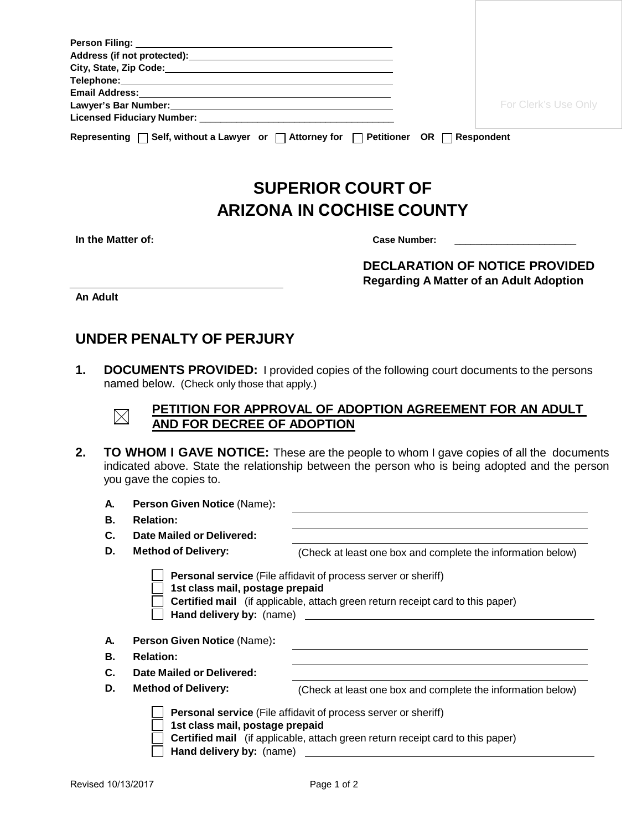|                                                                                                          | For Clerk's Use Only |  |  |  |
|----------------------------------------------------------------------------------------------------------|----------------------|--|--|--|
|                                                                                                          |                      |  |  |  |
| Representing $\Box$ Self, without a Lawyer or $\Box$ Attorney for $\Box$ Petitioner OR $\Box$ Respondent |                      |  |  |  |

## **SUPERIOR COURT OF ARIZONA IN COCHISE COUNTY**

|  | In the Matter of: |  |
|--|-------------------|--|
|--|-------------------|--|

Case Number:

**DECLARATION OF NOTICE PROVIDED Regarding A Matter of an Adult Adoption**

**An Adult**

## **UNDER PENALTY OF PERJURY**

**1. DOCUMENTS PROVIDED:** I provided copies of the following court documents to the persons named below. (Check only those that apply.)



## **PETITION FOR APPROVAL OF ADOPTION AGREEMENT FOR AN ADULT AND FOR DECREE OF ADOPTION**

**2. TO WHOM I GAVE NOTICE:** These are the people to whom I gave copies of all the documents indicated above. State the relationship between the person who is being adopted and the person you gave the copies to.

| А. | Person Given Notice (Name):                                                                                                                                                                                            |                                                             |  |  |
|----|------------------------------------------------------------------------------------------------------------------------------------------------------------------------------------------------------------------------|-------------------------------------------------------------|--|--|
| В. | <b>Relation:</b>                                                                                                                                                                                                       |                                                             |  |  |
| C. | Date Mailed or Delivered:                                                                                                                                                                                              |                                                             |  |  |
| D. | <b>Method of Delivery:</b>                                                                                                                                                                                             | (Check at least one box and complete the information below) |  |  |
|    | <b>Personal service</b> (File affidavit of process server or sheriff)<br>1st class mail, postage prepaid<br>Certified mail (if applicable, attach green return receipt card to this paper)<br>Hand delivery by: (name) |                                                             |  |  |
| А. | <b>Person Given Notice (Name):</b>                                                                                                                                                                                     |                                                             |  |  |
| В. | <b>Relation:</b>                                                                                                                                                                                                       |                                                             |  |  |
| C. | Date Mailed or Delivered:                                                                                                                                                                                              |                                                             |  |  |
| D. | <b>Method of Delivery:</b>                                                                                                                                                                                             | (Check at least one box and complete the information below) |  |  |
|    | <b>Personal service</b> (File affidavit of process server or sheriff)<br>1st class mail, postage prepaid<br>Certified mail (if applicable, attach green return receipt card to this paper)<br>Hand delivery by: (name) |                                                             |  |  |